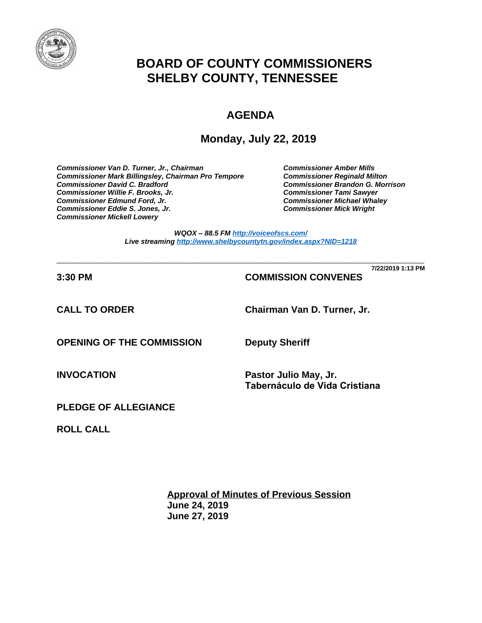

# **BOARD OF COUNTY COMMISSIONERS SHELBY COUNTY, TENNESSEE**

# **AGENDA**

**Monday, July 22, 2019**

*Commissioner Van D. Turner, Jr., Chairman Commissioner Amber Mills*  **Commissioner Mark Billingsley, Chairman Pro Tempore** *Commissioner David C. Bradford Commissioner Brandon G. Morrison Commissioner Willie F. Brooks, Jr. Commissioner Tami Sawyer Commissioner Eddie S. Jones, Jr. Commissioner Mick Wright Commissioner Mickell Lowery*

**Commissioner Michael Whaley<br>Commissioner Mick Wright** 

*WQOX – 88.5 FM <http://voiceofscs.com/> Live streaming <http://www.shelbycountytn.gov/index.aspx?NID=1218>*

**\_\_\_\_\_\_\_\_\_\_\_\_\_\_\_\_\_\_\_\_\_\_\_\_\_\_\_\_\_\_\_\_\_\_\_\_\_\_\_\_\_\_\_\_\_\_\_\_\_\_\_\_\_\_\_\_\_\_\_\_\_\_\_\_\_\_\_\_\_\_ 7/22/2019 1:13 PM**

**3:30 PM COMMISSION CONVENES**

**CALL TO ORDER Chairman Van D. Turner, Jr.**

**OPENING OF THE COMMISSION Deputy Sheriff**

**INVOCATION Pastor Julio May, Jr. Tabernáculo de Vida Cristiana**

**PLEDGE OF ALLEGIANCE**

**ROLL CALL**

**Approval of Minutes of Previous Session June 24, 2019 June 27, 2019**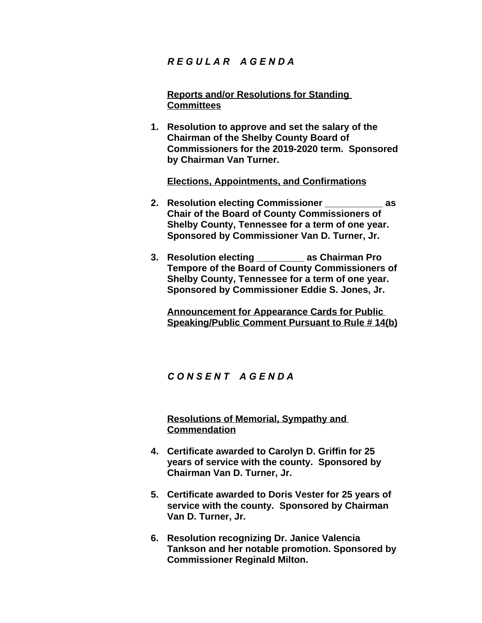## *R E G U L A R A G E N D A*

**Reports and/or Resolutions for Standing Committees**

**1. Resolution to approve and set the salary of the Chairman of the Shelby County Board of Commissioners for the 2019-2020 term. Sponsored by Chairman Van Turner.**

**Elections, Appointments, and Confirmations**

- **2. Resolution electing Commissioner \_\_\_\_\_\_\_\_\_\_\_ as Chair of the Board of County Commissioners of Shelby County, Tennessee for a term of one year. Sponsored by Commissioner Van D. Turner, Jr.**
- **3. Resolution electing \_\_\_\_\_\_\_\_\_ as Chairman Pro Tempore of the Board of County Commissioners of Shelby County, Tennessee for a term of one year. Sponsored by Commissioner Eddie S. Jones, Jr.**

**Announcement for Appearance Cards for Public Speaking/Public Comment Pursuant to Rule # 14(b)**

### *C O N S E N T A G E N D A*

**Resolutions of Memorial, Sympathy and Commendation**

- **4. Certificate awarded to Carolyn D. Griffin for 25 years of service with the county. Sponsored by Chairman Van D. Turner, Jr.**
- **5. Certificate awarded to Doris Vester for 25 years of service with the county. Sponsored by Chairman Van D. Turner, Jr.**
- **6. Resolution recognizing Dr. Janice Valencia Tankson and her notable promotion. Sponsored by Commissioner Reginald Milton.**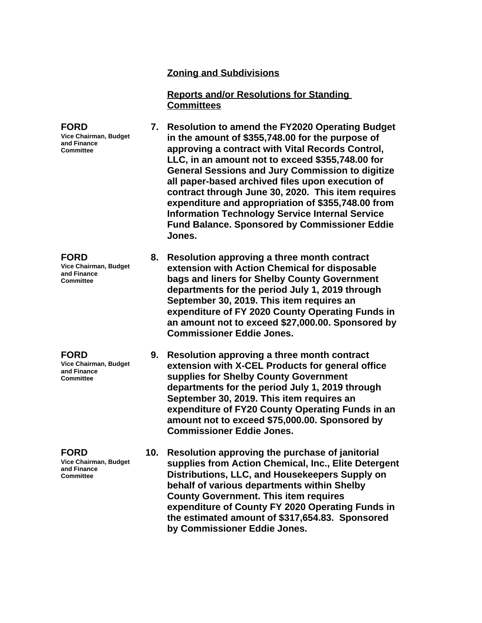#### **Zoning and Subdivisions**

**Reports and/or Resolutions for Standing Committees**

**FORD Vice Chairman, Budget and Finance Committee 7. Resolution to amend the FY2020 Operating Budget in the amount of \$355,748.00 for the purpose of approving a contract with Vital Records Control, LLC, in an amount not to exceed \$355,748.00 for General Sessions and Jury Commission to digitize all paper-based archived files upon execution of contract through June 30, 2020. This item requires expenditure and appropriation of \$355,748.00 from Information Technology Service Internal Service Fund Balance. Sponsored by Commissioner Eddie Jones.**

**Vice Chairman, Budget and Finance 8. Resolution approving a three month contract extension with Action Chemical for disposable bags and liners for Shelby County Government departments for the period July 1, 2019 through September 30, 2019. This item requires an expenditure of FY 2020 County Operating Funds in an amount not to exceed \$27,000.00. Sponsored by Commissioner Eddie Jones.**

> **9. Resolution approving a three month contract extension with X-CEL Products for general office supplies for Shelby County Government departments for the period July 1, 2019 through September 30, 2019. This item requires an expenditure of FY20 County Operating Funds in an amount not to exceed \$75,000.00. Sponsored by Commissioner Eddie Jones.**

**10. Resolution approving the purchase of janitorial supplies from Action Chemical, Inc., Elite Detergent Distributions, LLC, and Housekeepers Supply on behalf of various departments within Shelby County Government. This item requires expenditure of County FY 2020 Operating Funds in the estimated amount of \$317,654.83. Sponsored by Commissioner Eddie Jones.**

**Committee**

#### **FORD**

**FORD**

**Vice Chairman, Budget and Finance Committee**

**FORD**

**Vice Chairman, Budget and Finance Committee**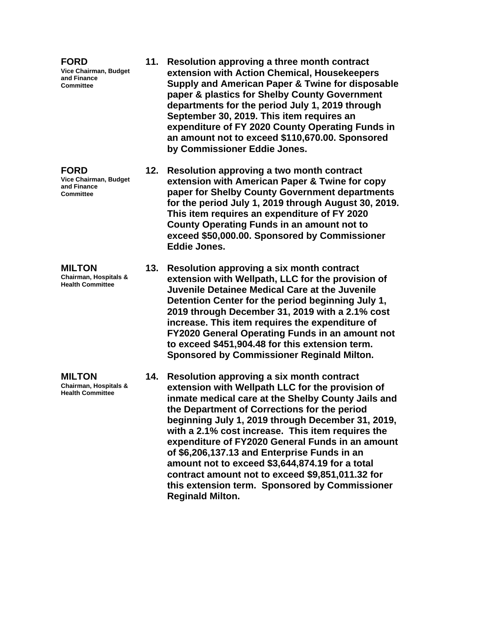**FORD Vice Chairman, Budget and Finance Committee**

**FORD Vice Chairman, Budget and Finance Committee**

**MILTON Chairman, Hospitals & Health Committee**

**MILTON Chairman, Hospitals & Health Committee**

- **11. Resolution approving a three month contract extension with Action Chemical, Housekeepers Supply and American Paper & Twine for disposable paper & plastics for Shelby County Government departments for the period July 1, 2019 through September 30, 2019. This item requires an expenditure of FY 2020 County Operating Funds in an amount not to exceed \$110,670.00. Sponsored by Commissioner Eddie Jones.**
- **12. Resolution approving a two month contract extension with American Paper & Twine for copy paper for Shelby County Government departments for the period July 1, 2019 through August 30, 2019. This item requires an expenditure of FY 2020 County Operating Funds in an amount not to exceed \$50,000.00. Sponsored by Commissioner Eddie Jones.**
- **13. Resolution approving a six month contract extension with Wellpath, LLC for the provision of Juvenile Detainee Medical Care at the Juvenile Detention Center for the period beginning July 1, 2019 through December 31, 2019 with a 2.1% cost increase. This item requires the expenditure of FY2020 General Operating Funds in an amount not to exceed \$451,904.48 for this extension term. Sponsored by Commissioner Reginald Milton.**
	- **14. Resolution approving a six month contract extension with Wellpath LLC for the provision of inmate medical care at the Shelby County Jails and the Department of Corrections for the period beginning July 1, 2019 through December 31, 2019, with a 2.1% cost increase. This item requires the expenditure of FY2020 General Funds in an amount of \$6,206,137.13 and Enterprise Funds in an amount not to exceed \$3,644,874.19 for a total contract amount not to exceed \$9,851,011.32 for this extension term. Sponsored by Commissioner Reginald Milton.**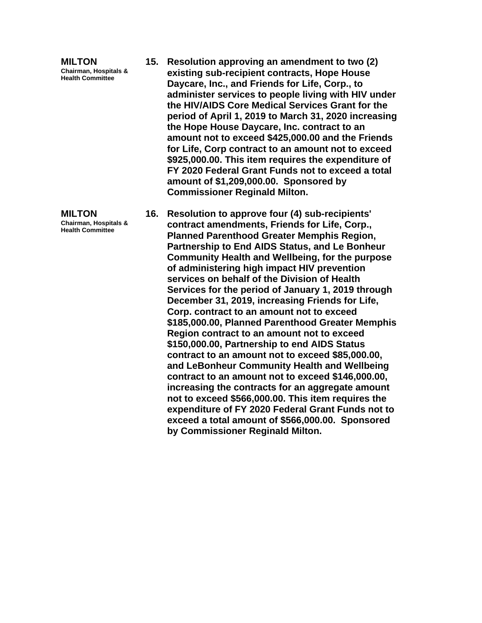**MILTON Chairman, Hospitals & Health Committee**

**MILTON Chairman, Hospitals & Health Committee**

- **15. Resolution approving an amendment to two (2) existing sub-recipient contracts, Hope House Daycare, Inc., and Friends for Life, Corp., to administer services to people living with HIV under the HIV/AIDS Core Medical Services Grant for the period of April 1, 2019 to March 31, 2020 increasing the Hope House Daycare, Inc. contract to an amount not to exceed \$425,000.00 and the Friends for Life, Corp contract to an amount not to exceed \$925,000.00. This item requires the expenditure of FY 2020 Federal Grant Funds not to exceed a total amount of \$1,209,000.00. Sponsored by Commissioner Reginald Milton.**
- **16. Resolution to approve four (4) sub-recipients' contract amendments, Friends for Life, Corp., Planned Parenthood Greater Memphis Region, Partnership to End AIDS Status, and Le Bonheur Community Health and Wellbeing, for the purpose of administering high impact HIV prevention services on behalf of the Division of Health Services for the period of January 1, 2019 through December 31, 2019, increasing Friends for Life, Corp. contract to an amount not to exceed \$185,000.00, Planned Parenthood Greater Memphis Region contract to an amount not to exceed \$150,000.00, Partnership to end AIDS Status contract to an amount not to exceed \$85,000.00, and LeBonheur Community Health and Wellbeing contract to an amount not to exceed \$146,000.00, increasing the contracts for an aggregate amount not to exceed \$566,000.00. This item requires the expenditure of FY 2020 Federal Grant Funds not to exceed a total amount of \$566,000.00. Sponsored by Commissioner Reginald Milton.**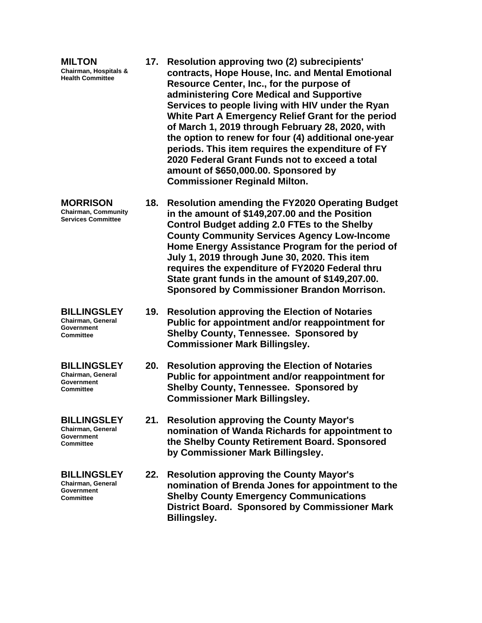| <b>MILTON</b><br><b>Chairman, Hospitals &amp;</b><br><b>Health Committee</b>     |     | 17. Resolution approving two (2) subrecipients'<br>contracts, Hope House, Inc. and Mental Emotional<br>Resource Center, Inc., for the purpose of<br>administering Core Medical and Supportive<br>Services to people living with HIV under the Ryan<br>White Part A Emergency Relief Grant for the period<br>of March 1, 2019 through February 28, 2020, with<br>the option to renew for four (4) additional one-year<br>periods. This item requires the expenditure of FY<br>2020 Federal Grant Funds not to exceed a total<br>amount of \$650,000.00. Sponsored by<br><b>Commissioner Reginald Milton.</b> |
|----------------------------------------------------------------------------------|-----|-------------------------------------------------------------------------------------------------------------------------------------------------------------------------------------------------------------------------------------------------------------------------------------------------------------------------------------------------------------------------------------------------------------------------------------------------------------------------------------------------------------------------------------------------------------------------------------------------------------|
| <b>MORRISON</b><br><b>Chairman, Community</b><br><b>Services Committee</b>       |     | 18. Resolution amending the FY2020 Operating Budget<br>in the amount of \$149,207.00 and the Position<br><b>Control Budget adding 2.0 FTEs to the Shelby</b><br><b>County Community Services Agency Low-Income</b><br>Home Energy Assistance Program for the period of<br>July 1, 2019 through June 30, 2020. This item<br>requires the expenditure of FY2020 Federal thru<br>State grant funds in the amount of \$149,207.00.<br>Sponsored by Commissioner Brandon Morrison.                                                                                                                               |
| <b>BILLINGSLEY</b><br>Chairman, General<br><b>Government</b><br><b>Committee</b> | 19. | <b>Resolution approving the Election of Notaries</b><br>Public for appointment and/or reappointment for<br><b>Shelby County, Tennessee. Sponsored by</b><br><b>Commissioner Mark Billingsley.</b>                                                                                                                                                                                                                                                                                                                                                                                                           |
| <b>BILLINGSLEY</b><br>Chairman, General<br>Government<br><b>Committee</b>        |     | 20. Resolution approving the Election of Notaries<br>Public for appointment and/or reappointment for<br><b>Shelby County, Tennessee. Sponsored by</b><br><b>Commissioner Mark Billingsley.</b>                                                                                                                                                                                                                                                                                                                                                                                                              |
| <b>BILLINGSLEY</b><br>Chairman, General<br>Government<br><b>Committee</b>        |     | 21. Resolution approving the County Mayor's<br>nomination of Wanda Richards for appointment to<br>the Shelby County Retirement Board. Sponsored<br>by Commissioner Mark Billingsley.                                                                                                                                                                                                                                                                                                                                                                                                                        |
| <b>BILLINGSLEY</b><br>Chairman, General<br>Government<br>Committee               |     | 22. Resolution approving the County Mayor's<br>nomination of Brenda Jones for appointment to the<br><b>Shelby County Emergency Communications</b><br><b>District Board. Sponsored by Commissioner Mark</b><br><b>Billingsley.</b>                                                                                                                                                                                                                                                                                                                                                                           |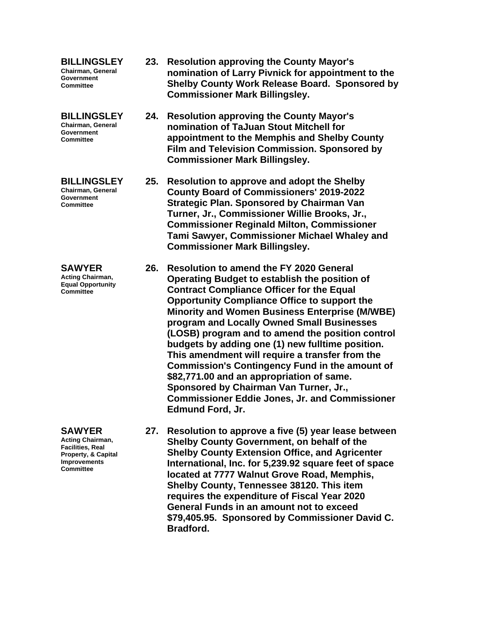**BILLINGSLEY Chairman, General Government Committee**

**BILLINGSLEY Chairman, General Government Committee**

**BILLINGSLEY Chairman, General Government Committee**

**SAWYER Acting Chairman, Equal Opportunity Committee**

**SAWYER Acting Chairman, Facilities, Real Property, & Capital Improvements Committee**

- **23. Resolution approving the County Mayor's nomination of Larry Pivnick for appointment to the Shelby County Work Release Board. Sponsored by Commissioner Mark Billingsley.**
- **24. Resolution approving the County Mayor's nomination of TaJuan Stout Mitchell for appointment to the Memphis and Shelby County Film and Television Commission. Sponsored by Commissioner Mark Billingsley.**
- **25. Resolution to approve and adopt the Shelby County Board of Commissioners' 2019-2022 Strategic Plan. Sponsored by Chairman Van Turner, Jr., Commissioner Willie Brooks, Jr., Commissioner Reginald Milton, Commissioner Tami Sawyer, Commissioner Michael Whaley and Commissioner Mark Billingsley.**
	- **26. Resolution to amend the FY 2020 General Operating Budget to establish the position of Contract Compliance Officer for the Equal Opportunity Compliance Office to support the Minority and Women Business Enterprise (M/WBE) program and Locally Owned Small Businesses (LOSB) program and to amend the position control budgets by adding one (1) new fulltime position. This amendment will require a transfer from the Commission's Contingency Fund in the amount of \$82,771.00 and an appropriation of same. Sponsored by Chairman Van Turner, Jr., Commissioner Eddie Jones, Jr. and Commissioner Edmund Ford, Jr.**
	- **27. Resolution to approve a five (5) year lease between Shelby County Government, on behalf of the Shelby County Extension Office, and Agricenter International, Inc. for 5,239.92 square feet of space located at 7777 Walnut Grove Road, Memphis, Shelby County, Tennessee 38120. This item requires the expenditure of Fiscal Year 2020 General Funds in an amount not to exceed \$79,405.95. Sponsored by Commissioner David C. Bradford.**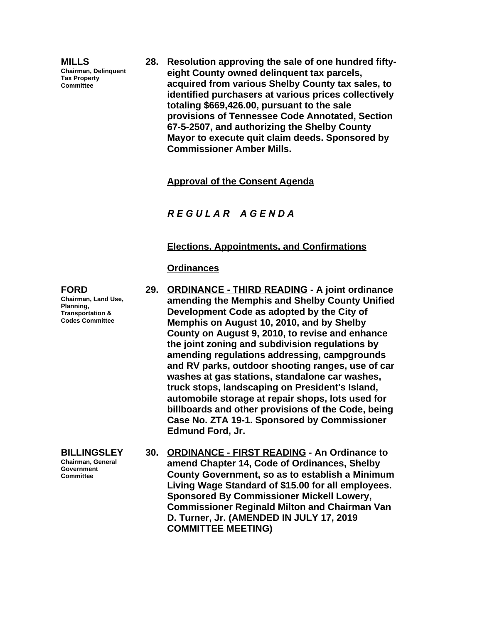**MILLS Chairman, Delinquent Tax Property Committee**

**28. Resolution approving the sale of one hundred fiftyeight County owned delinquent tax parcels, acquired from various Shelby County tax sales, to identified purchasers at various prices collectively totaling \$669,426.00, pursuant to the sale provisions of Tennessee Code Annotated, Section 67-5-2507, and authorizing the Shelby County Mayor to execute quit claim deeds. Sponsored by Commissioner Amber Mills.**

**Approval of the Consent Agenda**

*R E G U L A R A G E N D A*

#### **Elections, Appointments, and Confirmations**

#### **Ordinances**

**29. ORDINANCE - THIRD READING - A joint ordinance amending the Memphis and Shelby County Unified Development Code as adopted by the City of Memphis on August 10, 2010, and by Shelby County on August 9, 2010, to revise and enhance the joint zoning and subdivision regulations by amending regulations addressing, campgrounds and RV parks, outdoor shooting ranges, use of car washes at gas stations, standalone car washes, truck stops, landscaping on President's Island, automobile storage at repair shops, lots used for billboards and other provisions of the Code, being Case No. ZTA 19-1. Sponsored by Commissioner Edmund Ford, Jr.**

**BILLINGSLEY Chairman, General Government Committee 30. ORDINANCE - FIRST READING - An Ordinance to amend Chapter 14, Code of Ordinances, Shelby County Government, so as to establish a Minimum Living Wage Standard of \$15.00 for all employees. Sponsored By Commissioner Mickell Lowery, Commissioner Reginald Milton and Chairman Van D. Turner, Jr. (AMENDED IN JULY 17, 2019 COMMITTEE MEETING)**

**FORD Chairman, Land Use, Planning, Transportation & Codes Committee**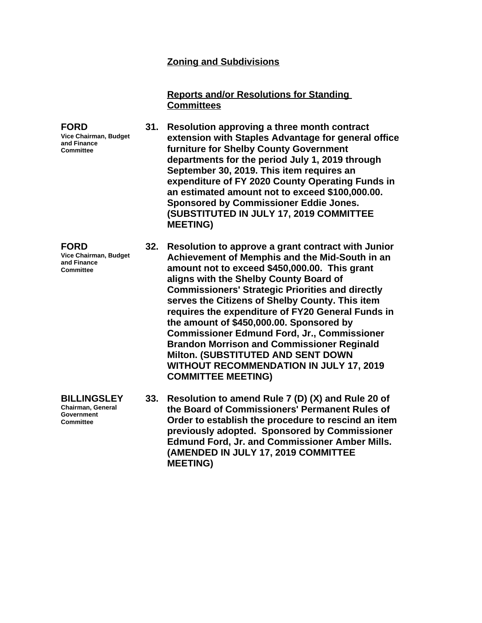### **Zoning and Subdivisions**

**Reports and/or Resolutions for Standing Committees**

**31. Resolution approving a three month contract extension with Staples Advantage for general office furniture for Shelby County Government departments for the period July 1, 2019 through September 30, 2019. This item requires an expenditure of FY 2020 County Operating Funds in an estimated amount not to exceed \$100,000.00. Sponsored by Commissioner Eddie Jones. (SUBSTITUTED IN JULY 17, 2019 COMMITTEE MEETING)**

**32. Resolution to approve a grant contract with Junior Achievement of Memphis and the Mid-South in an amount not to exceed \$450,000.00. This grant aligns with the Shelby County Board of Commissioners' Strategic Priorities and directly serves the Citizens of Shelby County. This item requires the expenditure of FY20 General Funds in the amount of \$450,000.00. Sponsored by Commissioner Edmund Ford, Jr., Commissioner Brandon Morrison and Commissioner Reginald Milton. (SUBSTITUTED AND SENT DOWN WITHOUT RECOMMENDATION IN JULY 17, 2019 COMMITTEE MEETING)**

**33. Resolution to amend Rule 7 (D) (X) and Rule 20 of the Board of Commissioners' Permanent Rules of Order to establish the procedure to rescind an item previously adopted. Sponsored by Commissioner Edmund Ford, Jr. and Commissioner Amber Mills. (AMENDED IN JULY 17, 2019 COMMITTEE MEETING)**

**FORD Vice Chairman, Budget and Finance Committee**

**FORD**

**Vice Chairman, Budget and Finance Committee**

**BILLINGSLEY Chairman, General Government Committee**